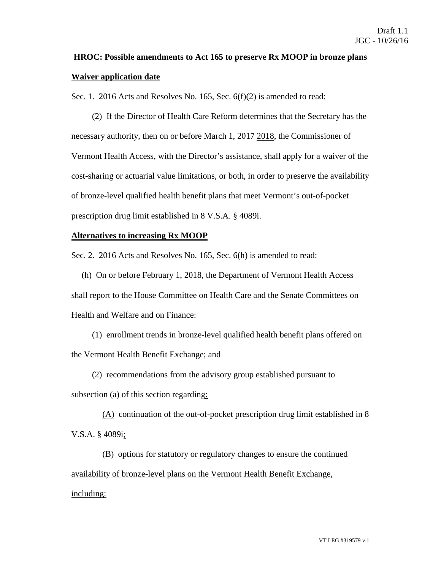## **HROC: Possible amendments to Act 165 to preserve Rx MOOP in bronze plans Waiver application date**

Sec. 1. 2016 Acts and Resolves No. 165, Sec. 6(f)(2) is amended to read:

(2) If the Director of Health Care Reform determines that the Secretary has the necessary authority, then on or before March 1, 2017 2018, the Commissioner of Vermont Health Access, with the Director's assistance, shall apply for a waiver of the cost-sharing or actuarial value limitations, or both, in order to preserve the availability of bronze-level qualified health benefit plans that meet Vermont's out-of-pocket prescription drug limit established in 8 V.S.A. § 4089i.

## **Alternatives to increasing Rx MOOP**

Sec. 2. 2016 Acts and Resolves No. 165, Sec. 6(h) is amended to read:

(h) On or before February 1, 2018, the Department of Vermont Health Access shall report to the House Committee on Health Care and the Senate Committees on Health and Welfare and on Finance:

(1) enrollment trends in bronze-level qualified health benefit plans offered on the Vermont Health Benefit Exchange; and

(2) recommendations from the advisory group established pursuant to

subsection (a) of this section regarding:

(A) continuation of the out-of-pocket prescription drug limit established in 8 V.S.A. § 4089i;

(B) options for statutory or regulatory changes to ensure the continued availability of bronze-level plans on the Vermont Health Benefit Exchange, including: